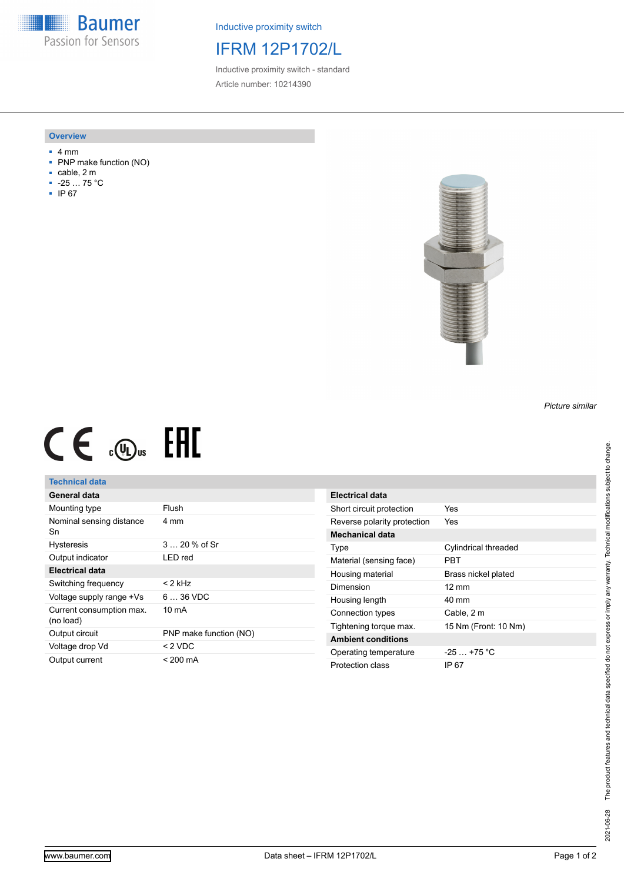**Baumer** Passion for Sensors

Inductive proximity switch

# IFRM 12P1702/L

Inductive proximity switch - standard Article number: 10214390

#### **Overview**

- 4 mm
- PNP make function (NO)
- cable, 2 m
- -25 … 75 °C
- IP 67



# $CE \mathcal{L}$  .  $\mathbb{G}$ .

## **Technical data**

| General data                          |                        |
|---------------------------------------|------------------------|
| Mounting type                         | Flush                  |
| Nominal sensing distance<br>Sn        | 4 mm                   |
| <b>Hysteresis</b>                     | $3 \dots 20 \%$ of Sr  |
| Output indicator                      | I FD red               |
| Electrical data                       |                        |
| Switching frequency                   | < 2 kHz                |
| Voltage supply range +Vs              | $636$ VDC              |
| Current consumption max.<br>(no load) | $10 \text{ mA}$        |
| Output circuit                        | PNP make function (NO) |
| Voltage drop Vd                       | $< 2$ VDC              |
| Output current                        | < 200 mA               |

| Electrical data             |                      |
|-----------------------------|----------------------|
| Short circuit protection    | Yes                  |
| Reverse polarity protection | Yes                  |
| <b>Mechanical data</b>      |                      |
| Type                        | Cylindrical threaded |
| Material (sensing face)     | PRT                  |
| Housing material            | Brass nickel plated  |
| Dimension                   | $12 \text{ mm}$      |
| Housing length              | 40 mm                |
| Connection types            | Cable, 2 m           |
| Tightening torque max.      | 15 Nm (Front: 10 Nm) |
| <b>Ambient conditions</b>   |                      |
| Operating temperature       | $-25+75 °C$          |
| Protection class            | IP 67                |